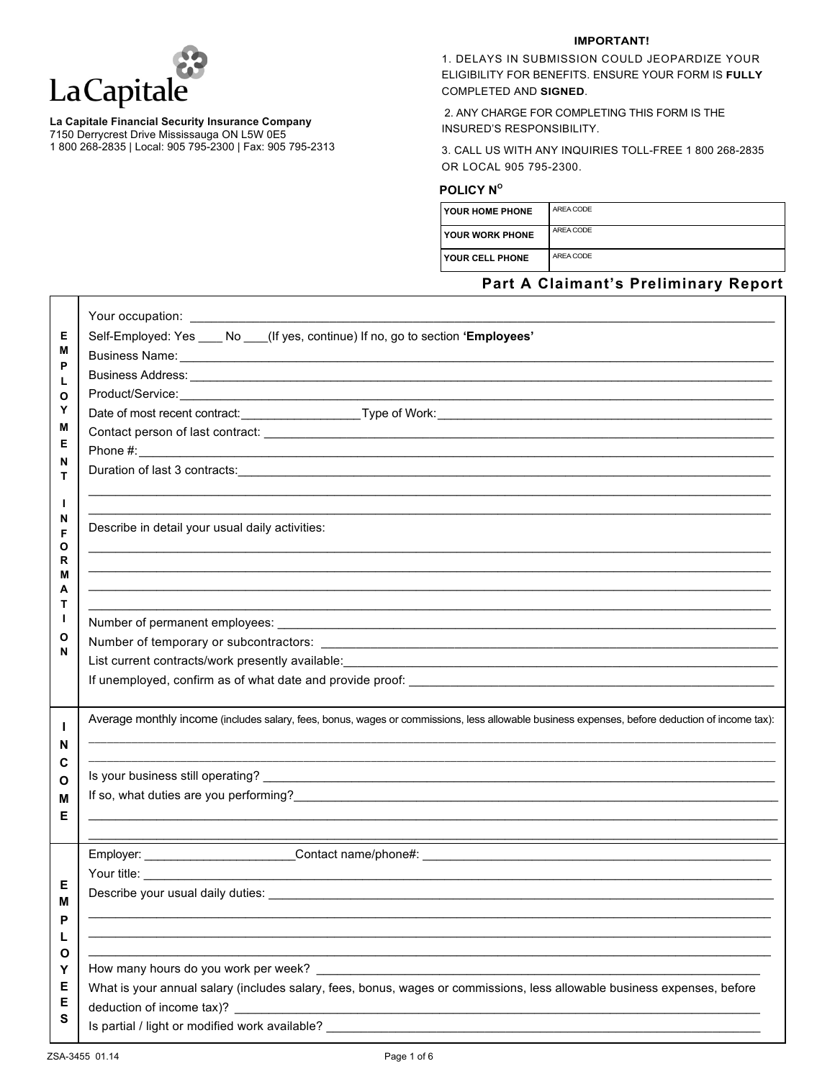

#### **La Capitale Financial Security Insurance Company**

7150 Derrycrest Drive Mississauga ON L5W 0E5

1 800 268-2835 | Local: 905 795-2300 | Fax: 905 795-2313

#### **IMPORTANT!**

1. DELAYS IN SUBMISSION COULD JEOPARDIZE YOUR ELIGIBILITY FOR BENEFITS. ENSURE YOUR FORM IS **FULLY** COMPLETED AND **SIGNED**.

2. ANY CHARGE FOR COMPLETING THIS FORM IS THE INSURED'S RESPONSIBILITY.

3. CALL US WITH ANY INQUIRIES TOLL-FREE 1 800 268-2835 OR LOCAL 905 795-2300.

# **POLICY Nº**

| <b>YOUR HOME PHONE</b>   | AREA CODE |
|--------------------------|-----------|
| l YOUR WORK PHONE        | AREA CODE |
| <b>I YOUR CELL PHONE</b> | AREA CODE |

# **Part A Claimant's Preliminary Report**

| Е<br>М<br>P<br>L<br>О<br>Υ<br>M<br>Е<br>N<br>т<br>L<br>N<br>F | Self-Employed: Yes ____ No ___(If yes, continue) If no, go to section 'Employees'<br>Business Name: <u>Contract Communications</u> Contract Communications of the Communications Communications Communications<br>Describe in detail your usual daily activities:                                                                                                                                                                                                                                                                                                                                 |
|---------------------------------------------------------------|---------------------------------------------------------------------------------------------------------------------------------------------------------------------------------------------------------------------------------------------------------------------------------------------------------------------------------------------------------------------------------------------------------------------------------------------------------------------------------------------------------------------------------------------------------------------------------------------------|
| Ο<br>R<br>М<br>А<br>т<br>L<br>O<br>N                          | <u> 1989 - Jan James James James James James James James James James James James James James James James James J</u><br>Number of permanent employees: example and the set of the set of the set of the set of the set of the set of the set of the set of the set of the set of the set of the set of the set of the set of the set of the set of the                                                                                                                                                                                                                                            |
| L<br>N<br>С<br>Ο<br>М<br>Е                                    | Average monthly income (includes salary, fees, bonus, wages or commissions, less allowable business expenses, before deduction of income tax):<br>If so, what duties are you performing?<br><u> and</u> the contract of the contract of the contract of the contract of the contract of the contract of the contract of the contract of the contract of the contract of the contract of                                                                                                                                                                                                           |
| Е<br>Μ<br>P<br>L<br>O<br>Y<br>Е<br>Е<br>S                     | Your title: <u>with the contract of the contract of the contract of the contract of the contract of the contract of the contract of the contract of the contract of the contract of the contract of the contract of the contract</u><br>the control of the control of the control of the control of the control of the control of the control of the control of the control of the control of the control of the control of the control of the control of the control<br>What is your annual salary (includes salary, fees, bonus, wages or commissions, less allowable business expenses, before |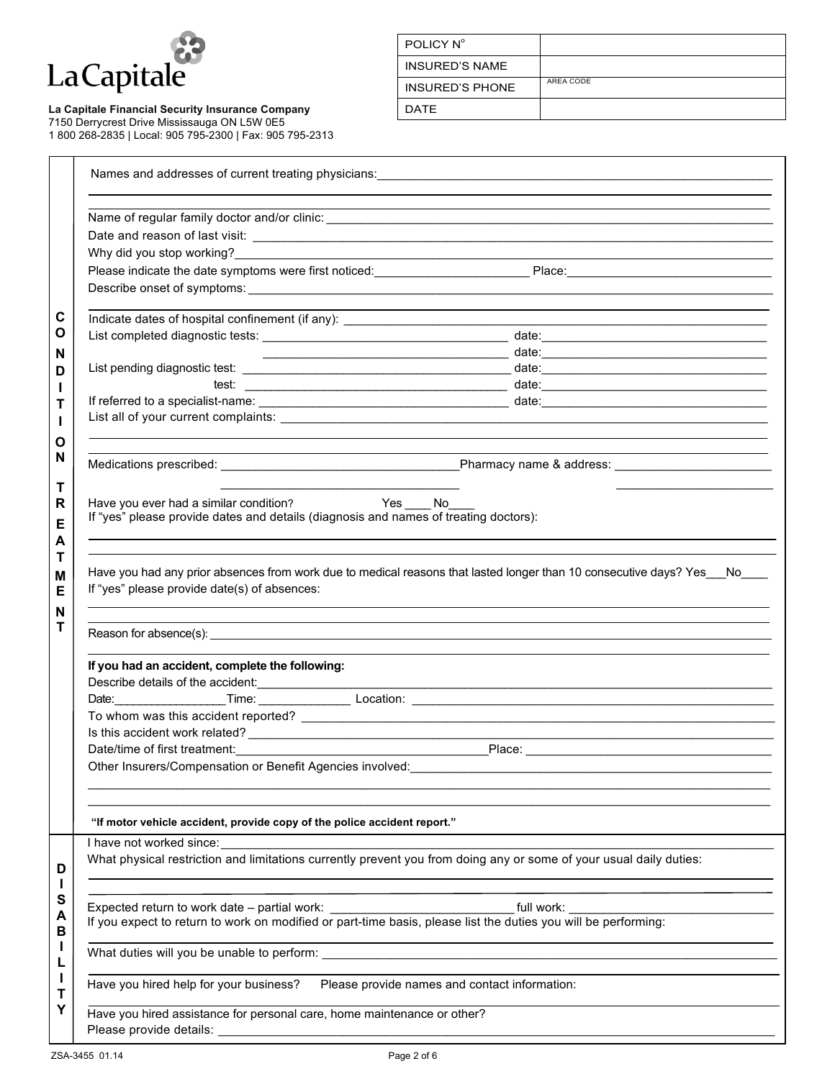

#### La Capitale Financial Security Insurance Company **Constant Contact Lage Constants Constant** DATE 7150 Derrycrest Drive Mississauga ON L5W 0E5

1 800 268-2835 | Local: 905 795-2300 | Fax: 905 795-2313

| POLICY N°              |           |
|------------------------|-----------|
| <b>INSURED'S NAME</b>  |           |
| <b>INSURED'S PHONE</b> | AREA CODE |
| <b>DATE</b>            |           |

|                                                                                                              | Please indicate the date symptoms were first noticed: Place: Place: Place: Place: Place: Place: Place: Place: Place: Place: Place: Place: Place: Place: Place: Place: Place: Place: Place: Place: Place: Place: Place: Place: |
|--------------------------------------------------------------------------------------------------------------|-------------------------------------------------------------------------------------------------------------------------------------------------------------------------------------------------------------------------------|
|                                                                                                              |                                                                                                                                                                                                                               |
|                                                                                                              |                                                                                                                                                                                                                               |
|                                                                                                              |                                                                                                                                                                                                                               |
|                                                                                                              |                                                                                                                                                                                                                               |
|                                                                                                              |                                                                                                                                                                                                                               |
|                                                                                                              |                                                                                                                                                                                                                               |
|                                                                                                              |                                                                                                                                                                                                                               |
|                                                                                                              |                                                                                                                                                                                                                               |
|                                                                                                              |                                                                                                                                                                                                                               |
|                                                                                                              |                                                                                                                                                                                                                               |
| Have you ever had a similar condition?                                                                       | <b>Example 3</b> Yes ______ No______                                                                                                                                                                                          |
| If "yes" please provide dates and details (diagnosis and names of treating doctors):                         |                                                                                                                                                                                                                               |
|                                                                                                              | ,我们也不能在这里的人,我们也不能在这里的人,我们也不能在这里的人,我们也不能在这里的人,我们也不能在这里的人,我们也不能在这里的人,我们也不能在这里的人,我们也                                                                                                                                             |
| If "yes" please provide date(s) of absences:                                                                 | Have you had any prior absences from work due to medical reasons that lasted longer than 10 consecutive days? Yes_No___                                                                                                       |
| If you had an accident, complete the following:                                                              |                                                                                                                                                                                                                               |
| Describe details of the accident:                                                                            |                                                                                                                                                                                                                               |
|                                                                                                              |                                                                                                                                                                                                                               |
|                                                                                                              |                                                                                                                                                                                                                               |
| Is this accident work related?<br><u> and</u> the second work related?                                       |                                                                                                                                                                                                                               |
|                                                                                                              |                                                                                                                                                                                                                               |
|                                                                                                              |                                                                                                                                                                                                                               |
| Other Insurers/Compensation or Benefit Agencies involved:                                                    |                                                                                                                                                                                                                               |
| "If motor vehicle accident, provide copy of the police accident report."                                     |                                                                                                                                                                                                                               |
|                                                                                                              |                                                                                                                                                                                                                               |
|                                                                                                              | What physical restriction and limitations currently prevent you from doing any or some of your usual daily duties:                                                                                                            |
|                                                                                                              |                                                                                                                                                                                                                               |
|                                                                                                              | full work:                                                                                                                                                                                                                    |
| I have not worked since:<br>Expected return to work date - partial work: ___________________________________ | If you expect to return to work on modified or part-time basis, please list the duties you will be performing:                                                                                                                |
|                                                                                                              |                                                                                                                                                                                                                               |
|                                                                                                              |                                                                                                                                                                                                                               |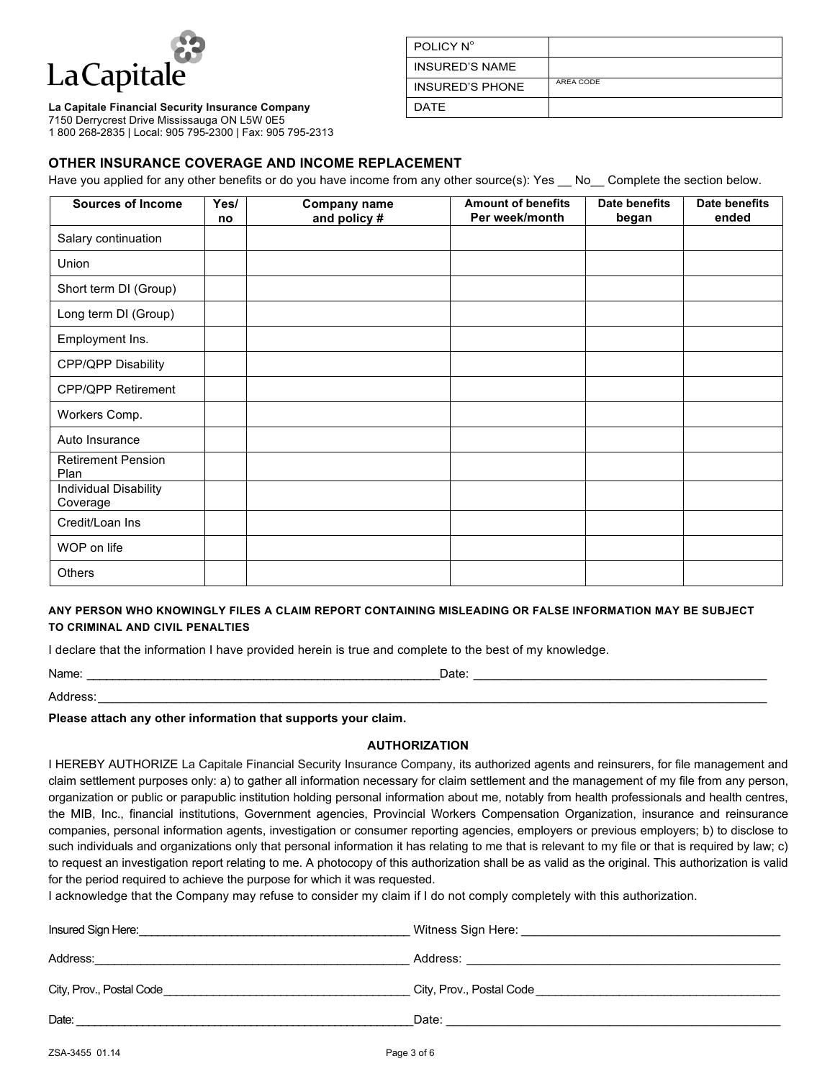

### **La Capitale Financial Security Insurance Company**

7150 Derrycrest Drive Mississauga ON L5W 0E5

1 800 268-2835 | Local: 905 795-2300 | Fax: 905 795-2313

| POLICY N°              |           |
|------------------------|-----------|
| <b>INSURED'S NAME</b>  |           |
| <b>INSURED'S PHONE</b> | AREA CODE |
| <b>DATE</b>            |           |

# **OTHER INSURANCE COVERAGE AND INCOME REPLACEMENT**

Have you applied for any other benefits or do you have income from any other source(s): Yes No Complete the section below.

| <b>Sources of Income</b>                 | Yes/<br>no | <b>Company name</b><br>and policy # | <b>Amount of benefits</b><br>Per week/month | Date benefits<br>began | <b>Date benefits</b><br>ended |
|------------------------------------------|------------|-------------------------------------|---------------------------------------------|------------------------|-------------------------------|
| Salary continuation                      |            |                                     |                                             |                        |                               |
| Union                                    |            |                                     |                                             |                        |                               |
| Short term DI (Group)                    |            |                                     |                                             |                        |                               |
| Long term DI (Group)                     |            |                                     |                                             |                        |                               |
| Employment Ins.                          |            |                                     |                                             |                        |                               |
| CPP/QPP Disability                       |            |                                     |                                             |                        |                               |
| <b>CPP/QPP Retirement</b>                |            |                                     |                                             |                        |                               |
| Workers Comp.                            |            |                                     |                                             |                        |                               |
| Auto Insurance                           |            |                                     |                                             |                        |                               |
| <b>Retirement Pension</b><br>Plan        |            |                                     |                                             |                        |                               |
| <b>Individual Disability</b><br>Coverage |            |                                     |                                             |                        |                               |
| Credit/Loan Ins                          |            |                                     |                                             |                        |                               |
| WOP on life                              |            |                                     |                                             |                        |                               |
| <b>Others</b>                            |            |                                     |                                             |                        |                               |

### **ANY PERSON WHO KNOWINGLY FILES A CLAIM REPORT CONTAINING MISLEADING OR FALSE INFORMATION MAY BE SUBJECT TO CRIMINAL AND CIVIL PENALTIES**

I declare that the information I have provided herein is true and complete to the best of my knowledge.

Name: \_\_\_\_\_\_\_\_\_\_\_\_\_\_\_\_\_\_\_\_\_\_\_\_\_\_\_\_\_\_\_\_\_\_\_\_\_\_\_\_\_\_\_\_\_\_\_\_\_\_\_\_\_\_\_Date: \_\_\_\_\_\_\_\_\_\_\_\_\_\_\_\_\_\_\_\_\_\_\_\_\_\_\_\_\_\_\_\_\_\_\_\_\_\_\_\_\_\_\_

Address:\_\_\_\_\_\_\_\_\_\_\_\_\_\_\_\_\_\_\_\_\_\_\_\_\_\_\_\_\_\_\_\_\_\_\_\_\_\_\_\_\_\_\_\_\_\_\_\_\_\_\_\_\_\_\_\_\_\_\_\_\_\_\_\_\_\_\_\_\_\_\_\_\_\_\_\_\_\_\_\_\_\_\_\_\_\_\_\_\_\_\_\_\_\_\_\_\_\_

**Please attach any other information that supports your claim.**

## **AUTHORIZATION**

I HEREBY AUTHORIZE La Capitale Financial Security Insurance Company, its authorized agents and reinsurers, for file management and claim settlement purposes only: a) to gather all information necessary for claim settlement and the management of my file from any person, organization or public or parapublic institution holding personal information about me, notably from health professionals and health centres, the MIB, Inc., financial institutions, Government agencies, Provincial Workers Compensation Organization, insurance and reinsurance companies, personal information agents, investigation or consumer reporting agencies, employers or previous employers; b) to disclose to such individuals and organizations only that personal information it has relating to me that is relevant to my file or that is required by law; c) to request an investigation report relating to me. A photocopy of this authorization shall be as valid as the original. This authorization is valid for the period required to achieve the purpose for which it was requested.

I acknowledge that the Company may refuse to consider my claim if I do not comply completely with this authorization.

| Insured Sign Here:       | Witness Sign Here:       |
|--------------------------|--------------------------|
| Address:                 | Address:                 |
|                          |                          |
| City, Prov., Postal Code | City, Prov., Postal Code |
|                          |                          |
| Date:                    | Date:                    |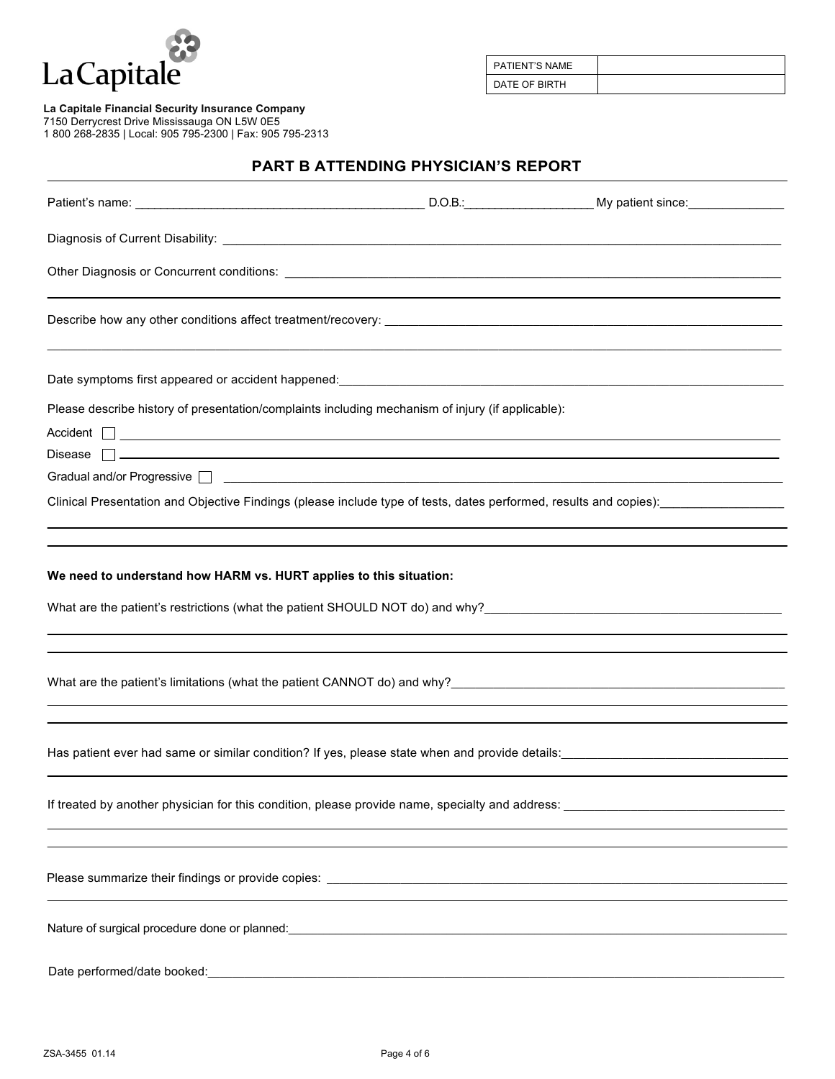

PATIENT'S NAME DATE OF BIRTH

**La Capitale Financial Security Insurance Company**

7150 Derrycrest Drive Mississauga ON L5W 0E5

1 800 268-2835 | Local: 905 795-2300 | Fax: 905 795-2313

# **PART B ATTENDING PHYSICIAN'S REPORT**

| Please describe history of presentation/complaints including mechanism of injury (if applicable):                                                                                                |                                                                                                                       |  |
|--------------------------------------------------------------------------------------------------------------------------------------------------------------------------------------------------|-----------------------------------------------------------------------------------------------------------------------|--|
| $\overline{\mathsf{Accident}}$ $\Box$                                                                                                                                                            |                                                                                                                       |  |
|                                                                                                                                                                                                  |                                                                                                                       |  |
|                                                                                                                                                                                                  |                                                                                                                       |  |
| Clinical Presentation and Objective Findings (please include type of tests, dates performed, results and copies):                                                                                |                                                                                                                       |  |
|                                                                                                                                                                                                  |                                                                                                                       |  |
| We need to understand how HARM vs. HURT applies to this situation:                                                                                                                               |                                                                                                                       |  |
| What are the patient's limitations (what the patient CANNOT do) and why?<br>The contract of the patient's limitations (what the patient CANNOT do) and why?                                      |                                                                                                                       |  |
| Has patient ever had same or similar condition? If yes, please state when and provide details:<br>Has patient ever had same or similar condition? If yes, please state when and provide details: |                                                                                                                       |  |
|                                                                                                                                                                                                  |                                                                                                                       |  |
|                                                                                                                                                                                                  |                                                                                                                       |  |
|                                                                                                                                                                                                  |                                                                                                                       |  |
| Date performed/date booked:                                                                                                                                                                      | <u> 1989 - Johann John Stein, mars an deutscher Stein und der Stein und der Stein und der Stein und der Stein und</u> |  |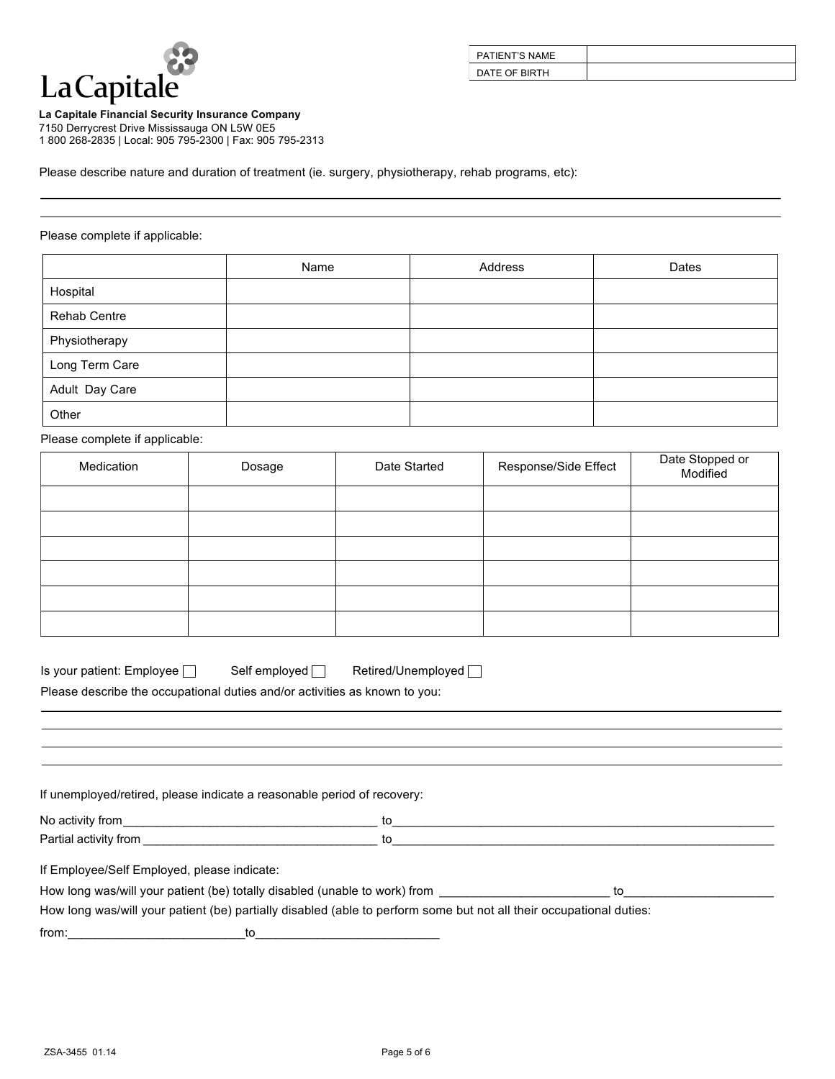

| PATIENT'S NAME |  |
|----------------|--|
| DATE OF BIRTH  |  |

**La Capitale Financial Security Insurance Company**

7150 Derrycrest Drive Mississauga ON L5W 0E5 1 800 268-2835 | Local: 905 795-2300 | Fax: 905 795-2313

Please describe nature and duration of treatment (ie. surgery, physiotherapy, rehab programs, etc):

### Please complete if applicable:

|                | Name | Address | Dates |
|----------------|------|---------|-------|
| Hospital       |      |         |       |
| Rehab Centre   |      |         |       |
| Physiotherapy  |      |         |       |
| Long Term Care |      |         |       |
| Adult Day Care |      |         |       |
| Other          |      |         |       |

Please complete if applicable:

| Medication | Dosage | Date Started | Response/Side Effect | Date Stopped or<br>Modified |
|------------|--------|--------------|----------------------|-----------------------------|
|            |        |              |                      |                             |
|            |        |              |                      |                             |
|            |        |              |                      |                             |
|            |        |              |                      |                             |
|            |        |              |                      |                             |
|            |        |              |                      |                             |

| Is your patient: Employee $\Box$ | Retired/Unemployed  <br>Self employed $\square$ |  |
|----------------------------------|-------------------------------------------------|--|
|----------------------------------|-------------------------------------------------|--|

Please describe the occupational duties and/or activities as known to you:

| If unemployed/retired, please indicate a reasonable period of recovery: |  |  |
|-------------------------------------------------------------------------|--|--|
| No activity from                                                        |  |  |

| $D$ <sub>artia</sub>  |  |
|-----------------------|--|
| Partial activity from |  |
|                       |  |

If Employee/Self Employed, please indicate:

How long was/will your patient (be) totally disabled (unable to work) from **Example 20** 1 and to

How long was/will your patient (be) partially disabled (able to perform some but not all their occupational duties:

 $\hbox{from:} \quad \qquad \qquad \hbox{to} \quad \qquad \qquad \hbox{to} \quad \qquad$